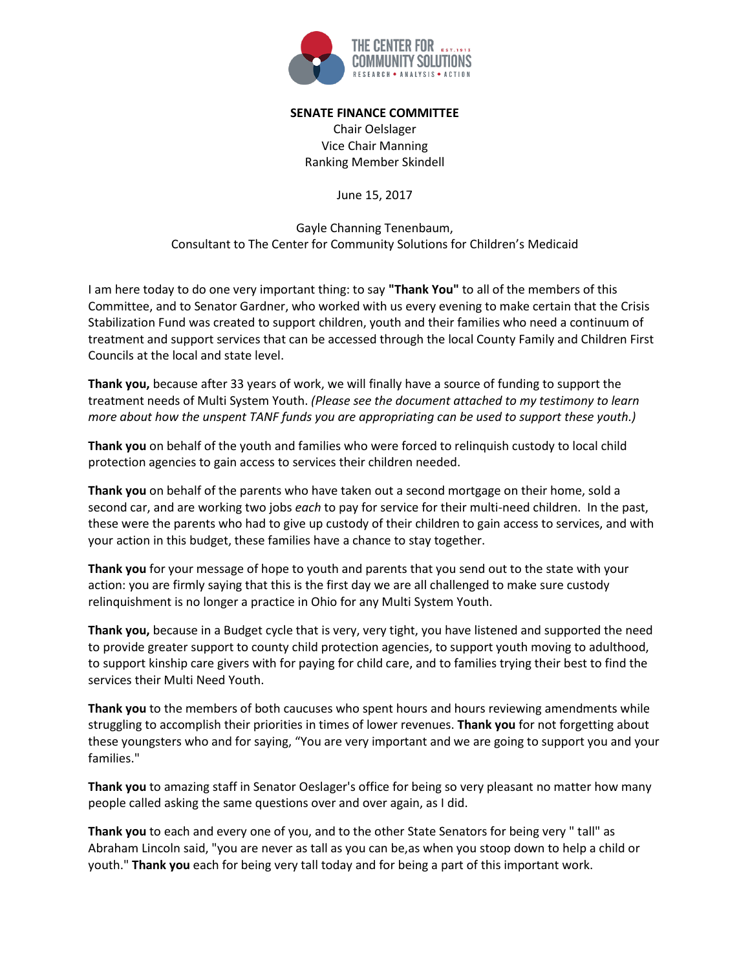

## **SENATE FINANCE COMMITTEE**

Chair Oelslager Vice Chair Manning Ranking Member Skindell

June 15, 2017

Gayle Channing Tenenbaum, Consultant to The Center for Community Solutions for Children's Medicaid

I am here today to do one very important thing: to say **"Thank You"** to all of the members of this Committee, and to Senator Gardner, who worked with us every evening to make certain that the Crisis Stabilization Fund was created to support children, youth and their families who need a continuum of treatment and support services that can be accessed through the local County Family and Children First Councils at the local and state level.

**Thank you,** because after 33 years of work, we will finally have a source of funding to support the treatment needs of Multi System Youth. *(Please see the document attached to my testimony to learn more about how the unspent TANF funds you are appropriating can be used to support these youth.)*

**Thank you** on behalf of the youth and families who were forced to relinquish custody to local child protection agencies to gain access to services their children needed.

**Thank you** on behalf of the parents who have taken out a second mortgage on their home, sold a second car, and are working two jobs *each* to pay for service for their multi-need children. In the past, these were the parents who had to give up custody of their children to gain access to services, and with your action in this budget, these families have a chance to stay together.

**Thank you** for your message of hope to youth and parents that you send out to the state with your action: you are firmly saying that this is the first day we are all challenged to make sure custody relinquishment is no longer a practice in Ohio for any Multi System Youth.

**Thank you,** because in a Budget cycle that is very, very tight, you have listened and supported the need to provide greater support to county child protection agencies, to support youth moving to adulthood, to support kinship care givers with for paying for child care, and to families trying their best to find the services their Multi Need Youth.

**Thank you** to the members of both caucuses who spent hours and hours reviewing amendments while struggling to accomplish their priorities in times of lower revenues. **Thank you** for not forgetting about these youngsters who and for saying, "You are very important and we are going to support you and your families."

**Thank you** to amazing staff in Senator Oeslager's office for being so very pleasant no matter how many people called asking the same questions over and over again, as I did.

**Thank you** to each and every one of you, and to the other State Senators for being very " tall" as Abraham Lincoln said, "you are never as tall as you can be, as when you stoop down to help a child or youth." **Thank you** each for being very tall today and for being a part of this important work.